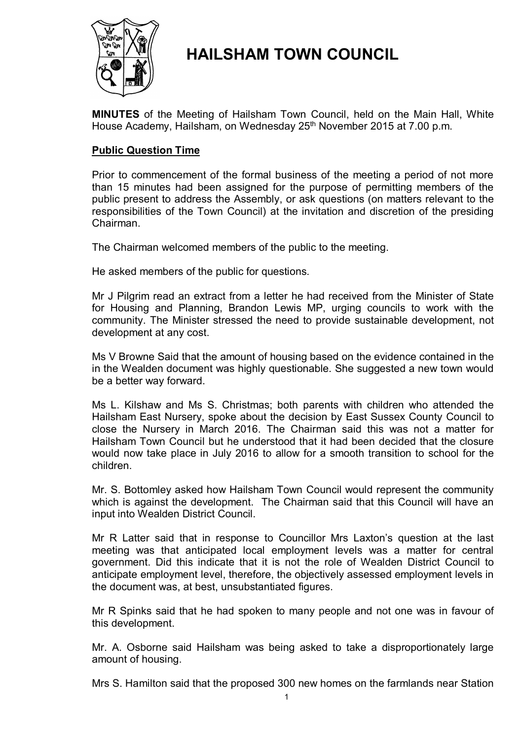

# **HAILSHAM TOWN COUNCIL**

**MINUTES** of the Meeting of Hailsham Town Council, held on the Main Hall, White House Academy, Hailsham, on Wednesday 25<sup>th</sup> November 2015 at 7.00 p.m.

# **Public Question Time**

Prior to commencement of the formal business of the meeting a period of not more than 15 minutes had been assigned for the purpose of permitting members of the public present to address the Assembly, or ask questions (on matters relevant to the responsibilities of the Town Council) at the invitation and discretion of the presiding Chairman.

The Chairman welcomed members of the public to the meeting.

He asked members of the public for questions.

Mr J Pilgrim read an extract from a letter he had received from the Minister of State for Housing and Planning, Brandon Lewis MP, urging councils to work with the community. The Minister stressed the need to provide sustainable development, not development at any cost.

Ms V Browne Said that the amount of housing based on the evidence contained in the in the Wealden document was highly questionable. She suggested a new town would be a better way forward.

Ms L. Kilshaw and Ms S. Christmas; both parents with children who attended the Hailsham East Nursery, spoke about the decision by East Sussex County Council to close the Nursery in March 2016. The Chairman said this was not a matter for Hailsham Town Council but he understood that it had been decided that the closure would now take place in July 2016 to allow for a smooth transition to school for the children.

Mr. S. Bottomley asked how Hailsham Town Council would represent the community which is against the development. The Chairman said that this Council will have an input into Wealden District Council.

Mr R Latter said that in response to Councillor Mrs Laxton's question at the last meeting was that anticipated local employment levels was a matter for central government. Did this indicate that it is not the role of Wealden District Council to anticipate employment level, therefore, the objectively assessed employment levels in the document was, at best, unsubstantiated figures.

Mr R Spinks said that he had spoken to many people and not one was in favour of this development.

Mr. A. Osborne said Hailsham was being asked to take a disproportionately large amount of housing.

Mrs S. Hamilton said that the proposed 300 new homes on the farmlands near Station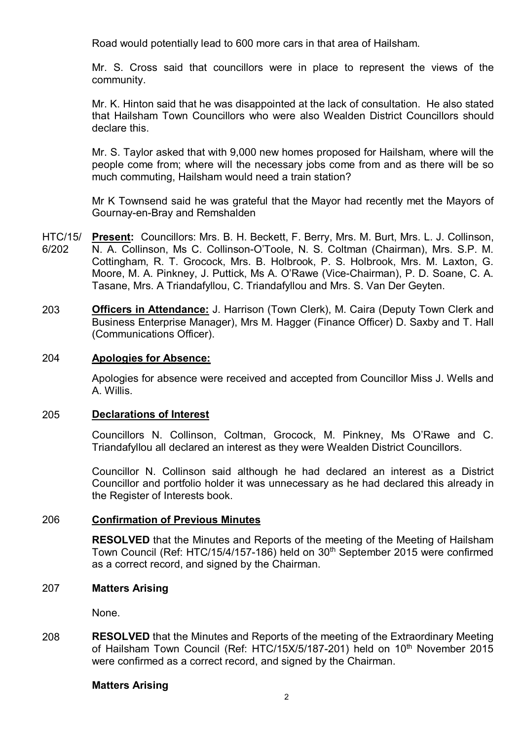Road would potentially lead to 600 more cars in that area of Hailsham.

Mr. S. Cross said that councillors were in place to represent the views of the community.

Mr. K. Hinton said that he was disappointed at the lack of consultation. He also stated that Hailsham Town Councillors who were also Wealden District Councillors should declare this.

Mr. S. Taylor asked that with 9,000 new homes proposed for Hailsham, where will the people come from; where will the necessary jobs come from and as there will be so much commuting, Hailsham would need a train station?

Mr K Townsend said he was grateful that the Mayor had recently met the Mayors of Gournay-en-Bray and Remshalden

- HTC/15/ 6/202 Present: Councillors: Mrs. B. H. Beckett, F. Berry, Mrs. M. Burt, Mrs. L. J. Collinson, N. A. Collinson, Ms C. Collinson-O'Toole, N. S. Coltman (Chairman), Mrs. S.P. M. Cottingham, R. T. Grocock, Mrs. B. Holbrook, P. S. Holbrook, Mrs. M. Laxton, G. Moore, M. A. Pinkney, J. Puttick, Ms A. O'Rawe (Vice-Chairman), P. D. Soane, C. A. Tasane, Mrs. A Triandafyllou, C. Triandafyllou and Mrs. S. Van Der Geyten.
- 203 **Officers in Attendance:** J. Harrison (Town Clerk), M. Caira (Deputy Town Clerk and Business Enterprise Manager), Mrs M. Hagger (Finance Officer) D. Saxby and T. Hall (Communications Officer).

### 204 **Apologies for Absence:**

Apologies for absence were received and accepted from Councillor Miss J. Wells and A. Willis.

### 205 **Declarations of Interest**

Councillors N. Collinson, Coltman, Grocock, M. Pinkney, Ms O'Rawe and C. Triandafyllou all declared an interest as they were Wealden District Councillors.

Councillor N. Collinson said although he had declared an interest as a District Councillor and portfolio holder it was unnecessary as he had declared this already in the Register of Interests book.

## 206 **Confirmation of Previous Minutes**

**RESOLVED** that the Minutes and Reports of the meeting of the Meeting of Hailsham Town Council (Ref: HTC/15/4/157-186) held on 30<sup>th</sup> September 2015 were confirmed as a correct record, and signed by the Chairman.

### 207 **Matters Arising**

None.

208 **RESOLVED** that the Minutes and Reports of the meeting of the Extraordinary Meeting of Hailsham Town Council (Ref: HTC/15X/5/187-201) held on 10<sup>th</sup> November 2015 were confirmed as a correct record, and signed by the Chairman.

### **Matters Arising**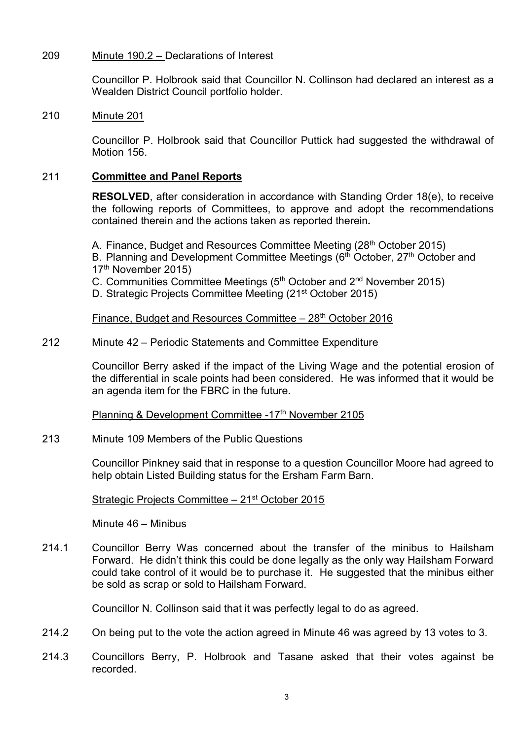#### 209 Minute 190.2 – Declarations of Interest

Councillor P. Holbrook said that Councillor N. Collinson had declared an interest as a Wealden District Council portfolio holder.

#### 210 Minute 201

Councillor P. Holbrook said that Councillor Puttick had suggested the withdrawal of Motion 156.

# 211 **Committee and Panel Reports**

**RESOLVED**, after consideration in accordance with Standing Order 18(e), to receive the following reports of Committees, to approve and adopt the recommendations contained therein and the actions taken as reported therein**.**

A. Finance, Budget and Resources Committee Meeting (28<sup>th</sup> October 2015)

B. Planning and Development Committee Meetings (6<sup>th</sup> October, 27<sup>th</sup> October and 17th November 2015)

C. Communities Committee Meetings (5<sup>th</sup> October and 2<sup>nd</sup> November 2015)

D. Strategic Projects Committee Meeting (21st October 2015)

Finance, Budget and Resources Committee – 28<sup>th</sup> October 2016

#### 212 Minute 42 – Periodic Statements and Committee Expenditure

Councillor Berry asked if the impact of the Living Wage and the potential erosion of the differential in scale points had been considered. He was informed that it would be an agenda item for the FBRC in the future.

Planning & Development Committee -17<sup>th</sup> November 2105

213 Minute 109 Members of the Public Questions

> Councillor Pinkney said that in response to a question Councillor Moore had agreed to help obtain Listed Building status for the Ersham Farm Barn.

## Strategic Projects Committee – 21st October 2015

Minute 46 – Minibus

214.1 Councillor Berry Was concerned about the transfer of the minibus to Hailsham Forward. He didn't think this could be done legally as the only way Hailsham Forward could take control of it would be to purchase it. He suggested that the minibus either be sold as scrap or sold to Hailsham Forward.

Councillor N. Collinson said that it was perfectly legal to do as agreed.

- 214.2 On being put to the vote the action agreed in Minute 46 was agreed by 13 votes to 3.
- 214.3 Councillors Berry, P. Holbrook and Tasane asked that their votes against be recorded.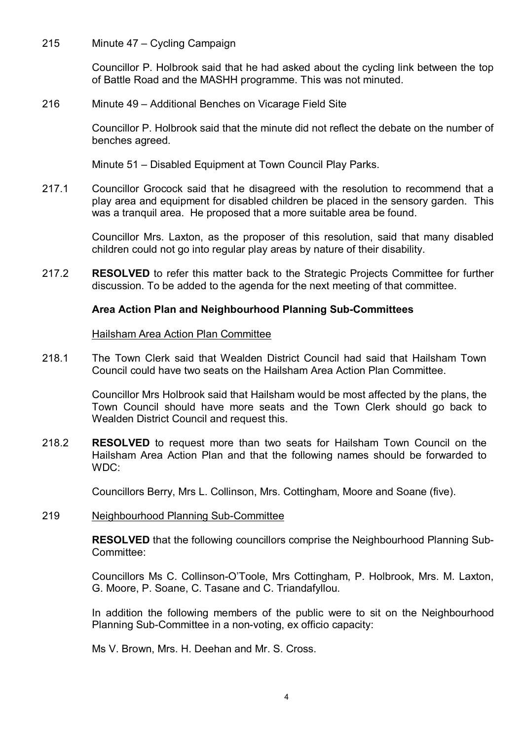215 Minute 47 – Cycling Campaign

> Councillor P. Holbrook said that he had asked about the cycling link between the top of Battle Road and the MASHH programme. This was not minuted.

216 Minute 49 – Additional Benches on Vicarage Field Site

> Councillor P. Holbrook said that the minute did not reflect the debate on the number of benches agreed.

Minute 51 – Disabled Equipment at Town Council Play Parks.

217.1 Councillor Grocock said that he disagreed with the resolution to recommend that a play area and equipment for disabled children be placed in the sensory garden. This was a tranquil area. He proposed that a more suitable area be found.

> Councillor Mrs. Laxton, as the proposer of this resolution, said that many disabled children could not go into regular play areas by nature of their disability.

217.2 **RESOLVED** to refer this matter back to the Strategic Projects Committee for further discussion. To be added to the agenda for the next meeting of that committee.

# **Area Action Plan and Neighbourhood Planning Sub-Committees**

### Hailsham Area Action Plan Committee

218.1 The Town Clerk said that Wealden District Council had said that Hailsham Town Council could have two seats on the Hailsham Area Action Plan Committee.

> Councillor Mrs Holbrook said that Hailsham would be most affected by the plans, the Town Council should have more seats and the Town Clerk should go back to Wealden District Council and request this.

218.2 **RESOLVED** to request more than two seats for Hailsham Town Council on the Hailsham Area Action Plan and that the following names should be forwarded to WDC:

Councillors Berry, Mrs L. Collinson, Mrs. Cottingham, Moore and Soane (five).

#### 219 Neighbourhood Planning Sub-Committee

**RESOLVED** that the following councillors comprise the Neighbourhood Planning Sub-Committee:

Councillors Ms C. Collinson-O'Toole, Mrs Cottingham, P. Holbrook, Mrs. M. Laxton, G. Moore, P. Soane, C. Tasane and C. Triandafyllou.

In addition the following members of the public were to sit on the Neighbourhood Planning Sub-Committee in a non-voting, ex officio capacity:

Ms V. Brown, Mrs. H. Deehan and Mr. S. Cross.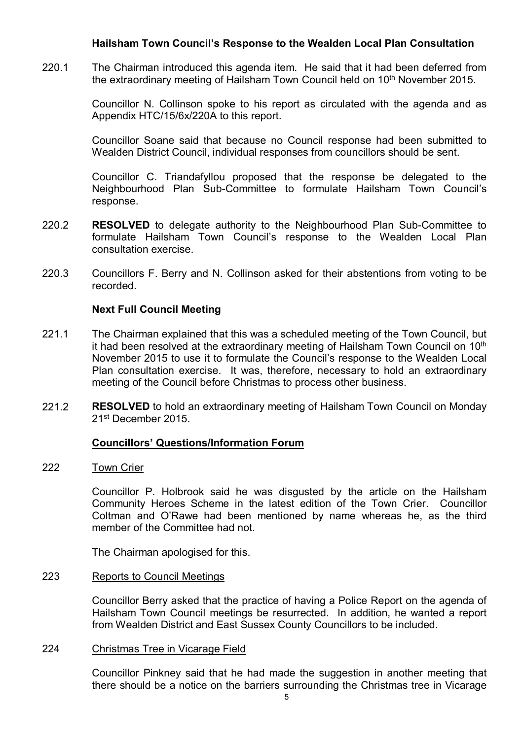# **Hailsham Town Council's Response to the Wealden Local Plan Consultation**

220.1 The Chairman introduced this agenda item. He said that it had been deferred from the extraordinary meeting of Hailsham Town Council held on 10<sup>th</sup> November 2015.

> Councillor N. Collinson spoke to his report as circulated with the agenda and as Appendix HTC/15/6x/220A to this report.

> Councillor Soane said that because no Council response had been submitted to Wealden District Council, individual responses from councillors should be sent.

> Councillor C. Triandafyllou proposed that the response be delegated to the Neighbourhood Plan Sub-Committee to formulate Hailsham Town Council's response.

- 220.2 **RESOLVED** to delegate authority to the Neighbourhood Plan Sub-Committee to formulate Hailsham Town Council's response to the Wealden Local Plan consultation exercise.
- 220.3 Councillors F. Berry and N. Collinson asked for their abstentions from voting to be recorded.

## **Next Full Council Meeting**

- 221.1 The Chairman explained that this was a scheduled meeting of the Town Council, but it had been resolved at the extraordinary meeting of Hailsham Town Council on 10<sup>th</sup> November 2015 to use it to formulate the Council's response to the Wealden Local Plan consultation exercise. It was, therefore, necessary to hold an extraordinary meeting of the Council before Christmas to process other business.
- 221.2 **RESOLVED** to hold an extraordinary meeting of Hailsham Town Council on Monday 21st December 2015.

## **Councillors' Questions/Information Forum**

222 Town Crier

> Councillor P. Holbrook said he was disgusted by the article on the Hailsham Community Heroes Scheme in the latest edition of the Town Crier. Councillor Coltman and O'Rawe had been mentioned by name whereas he, as the third member of the Committee had not.

The Chairman apologised for this.

#### 223 Reports to Council Meetings

Councillor Berry asked that the practice of having a Police Report on the agenda of Hailsham Town Council meetings be resurrected. In addition, he wanted a report from Wealden District and East Sussex County Councillors to be included.

#### 224 Christmas Tree in Vicarage Field

Councillor Pinkney said that he had made the suggestion in another meeting that there should be a notice on the barriers surrounding the Christmas tree in Vicarage